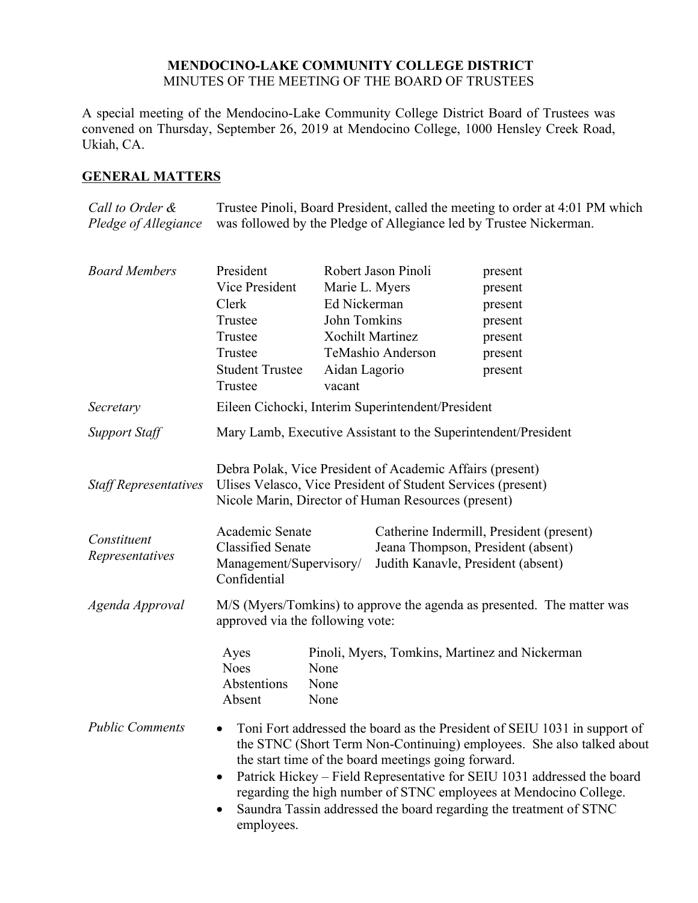## **MENDOCINO-LAKE COMMUNITY COLLEGE DISTRICT** MINUTES OF THE MEETING OF THE BOARD OF TRUSTEES

A special meeting of the Mendocino-Lake Community College District Board of Trustees was convened on Thursday, September 26, 2019 at Mendocino College, 1000 Hensley Creek Road, Ukiah, CA.

## **GENERAL MATTERS**

*Call to Order & Pledge of Allegiance* Trustee Pinoli, Board President, called the meeting to order at 4:01 PM which was followed by the Pledge of Allegiance led by Trustee Nickerman.

| <b>Board Members</b>           | President<br>Vice President<br>Clerk<br>Trustee<br>Trustee                                                                                                                                                                                                                                                                                                                                                                                                 | Marie L. Myers<br>Ed Nickerman<br>John Tomkins | Robert Jason Pinoli<br><b>Xochilt Martinez</b>                                                                       | present<br>present<br>present<br>present<br>present |  |
|--------------------------------|------------------------------------------------------------------------------------------------------------------------------------------------------------------------------------------------------------------------------------------------------------------------------------------------------------------------------------------------------------------------------------------------------------------------------------------------------------|------------------------------------------------|----------------------------------------------------------------------------------------------------------------------|-----------------------------------------------------|--|
|                                | Trustee<br><b>Student Trustee</b><br>Trustee                                                                                                                                                                                                                                                                                                                                                                                                               | Aidan Lagorio<br>vacant                        | TeMashio Anderson                                                                                                    | present<br>present                                  |  |
| Secretary                      | Eileen Cichocki, Interim Superintendent/President                                                                                                                                                                                                                                                                                                                                                                                                          |                                                |                                                                                                                      |                                                     |  |
| <b>Support Staff</b>           | Mary Lamb, Executive Assistant to the Superintendent/President                                                                                                                                                                                                                                                                                                                                                                                             |                                                |                                                                                                                      |                                                     |  |
| <b>Staff Representatives</b>   | Debra Polak, Vice President of Academic Affairs (present)<br>Ulises Velasco, Vice President of Student Services (present)<br>Nicole Marin, Director of Human Resources (present)                                                                                                                                                                                                                                                                           |                                                |                                                                                                                      |                                                     |  |
| Constituent<br>Representatives | Academic Senate<br><b>Classified Senate</b><br>Management/Supervisory/<br>Confidential                                                                                                                                                                                                                                                                                                                                                                     |                                                | Catherine Indermill, President (present)<br>Jeana Thompson, President (absent)<br>Judith Kanavle, President (absent) |                                                     |  |
| Agenda Approval                | M/S (Myers/Tomkins) to approve the agenda as presented. The matter was<br>approved via the following vote:                                                                                                                                                                                                                                                                                                                                                 |                                                |                                                                                                                      |                                                     |  |
|                                | Ayes<br><b>Noes</b><br>Abstentions<br>Absent                                                                                                                                                                                                                                                                                                                                                                                                               | None<br>None<br>None                           |                                                                                                                      | Pinoli, Myers, Tomkins, Martinez and Nickerman      |  |
| <b>Public Comments</b>         | Toni Fort addressed the board as the President of SEIU 1031 in support of<br>the STNC (Short Term Non-Continuing) employees. She also talked about<br>the start time of the board meetings going forward.<br>Patrick Hickey - Field Representative for SEIU 1031 addressed the board<br>$\bullet$<br>regarding the high number of STNC employees at Mendocino College.<br>Saundra Tassin addressed the board regarding the treatment of STNC<br>employees. |                                                |                                                                                                                      |                                                     |  |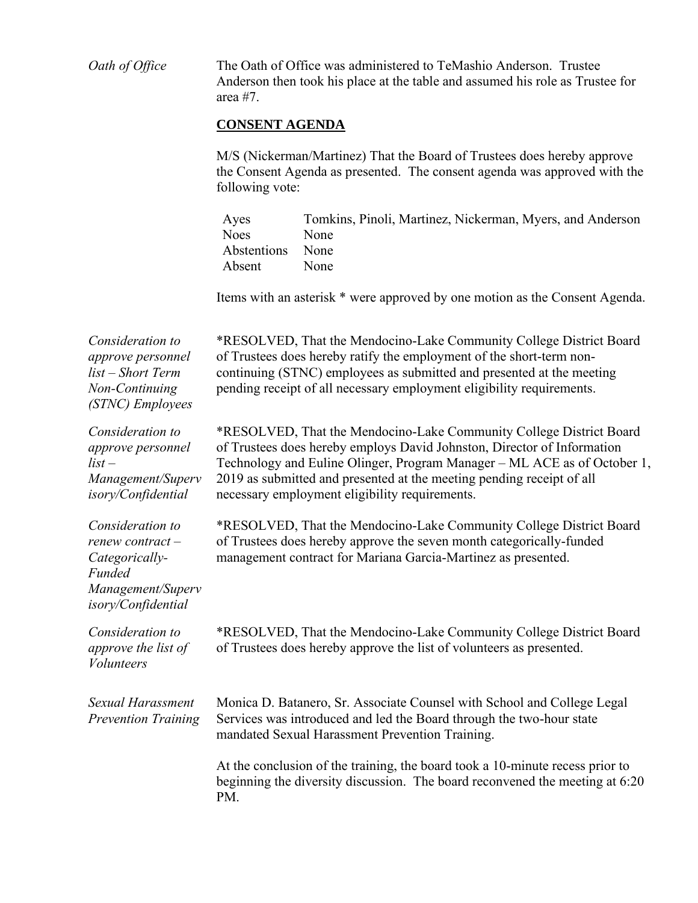| Oath of Office                                                                                                    | The Oath of Office was administered to TeMashio Anderson. Trustee<br>Anderson then took his place at the table and assumed his role as Trustee for<br>area $#7$ .<br><b>CONSENT AGENDA</b><br>M/S (Nickerman/Martinez) That the Board of Trustees does hereby approve<br>the Consent Agenda as presented. The consent agenda was approved with the<br>following vote: |                                                                                                                                                               |  |  |
|-------------------------------------------------------------------------------------------------------------------|-----------------------------------------------------------------------------------------------------------------------------------------------------------------------------------------------------------------------------------------------------------------------------------------------------------------------------------------------------------------------|---------------------------------------------------------------------------------------------------------------------------------------------------------------|--|--|
|                                                                                                                   |                                                                                                                                                                                                                                                                                                                                                                       |                                                                                                                                                               |  |  |
|                                                                                                                   |                                                                                                                                                                                                                                                                                                                                                                       |                                                                                                                                                               |  |  |
|                                                                                                                   | Items with an asterisk * were approved by one motion as the Consent Agenda.                                                                                                                                                                                                                                                                                           |                                                                                                                                                               |  |  |
| Consideration to<br>approve personnel<br>list – Short Term<br>Non-Continuing<br>(STNC) Employees                  | *RESOLVED, That the Mendocino-Lake Community College District Board<br>of Trustees does hereby ratify the employment of the short-term non-<br>continuing (STNC) employees as submitted and presented at the meeting<br>pending receipt of all necessary employment eligibility requirements.                                                                         |                                                                                                                                                               |  |  |
| Consideration to<br><i>approve personnel</i><br>$list -$<br>Management/Superv<br>isory/Confidential               | *RESOLVED, That the Mendocino-Lake Community College District Board<br>of Trustees does hereby employs David Johnston, Director of Information<br>Technology and Euline Olinger, Program Manager - ML ACE as of October 1,<br>2019 as submitted and presented at the meeting pending receipt of all<br>necessary employment eligibility requirements.                 |                                                                                                                                                               |  |  |
| Consideration to<br>renew contract-<br>Categorically-<br><b>Funded</b><br>Management/Superv<br>isory/Confidential | *RESOLVED, That the Mendocino-Lake Community College District Board<br>of Trustees does hereby approve the seven month categorically-funded<br>management contract for Mariana Garcia-Martinez as presented.                                                                                                                                                          |                                                                                                                                                               |  |  |
| Consideration to<br>approve the list of<br><i>Volunteers</i>                                                      | *RESOLVED, That the Mendocino-Lake Community College District Board<br>of Trustees does hereby approve the list of volunteers as presented.                                                                                                                                                                                                                           |                                                                                                                                                               |  |  |
| Sexual Harassment<br><b>Prevention Training</b>                                                                   | Monica D. Batanero, Sr. Associate Counsel with School and College Legal<br>Services was introduced and led the Board through the two-hour state<br>mandated Sexual Harassment Prevention Training.                                                                                                                                                                    |                                                                                                                                                               |  |  |
|                                                                                                                   | PM.                                                                                                                                                                                                                                                                                                                                                                   | At the conclusion of the training, the board took a 10-minute recess prior to<br>beginning the diversity discussion. The board reconvened the meeting at 6:20 |  |  |